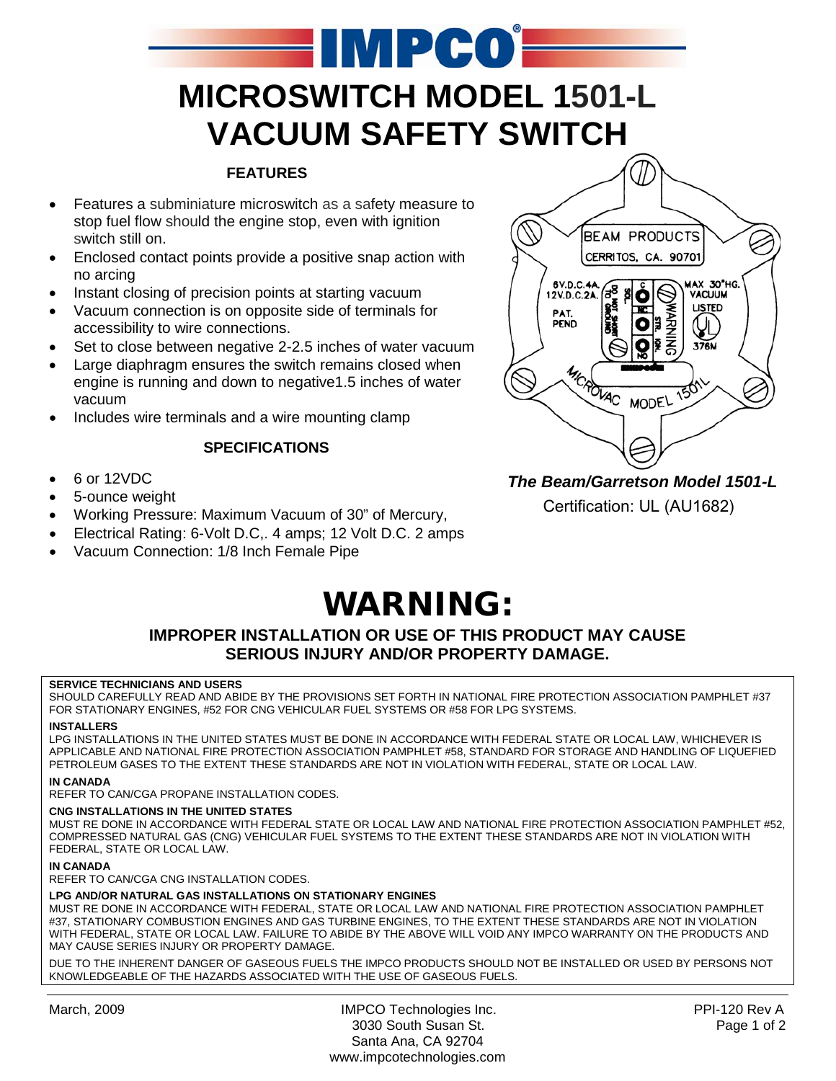

#### **FEATURES**

- Features a subminiature microswitch as a safety measure to stop fuel flow should the engine stop, even with ignition switch still on.
- Enclosed contact points provide a positive snap action with no arcing
- Instant closing of precision points at starting vacuum
- Vacuum connection is on opposite side of terminals for accessibility to wire connections.
- Set to close between negative 2-2.5 inches of water vacuum
- Large diaphragm ensures the switch remains closed when engine is running and down to negative1.5 inches of water vacuum
- Includes wire terminals and a wire mounting clamp

#### **SPECIFICATIONS**

- 6 or 12VDC
- 5-ounce weight
- Working Pressure: Maximum Vacuum of 30" of Mercury,
- Electrical Rating: 6-Volt D.C,. 4 amps; 12 Volt D.C. 2 amps
- Vacuum Connection: 1/8 Inch Female Pipe



## *The Beam/Garretson Model 1501-L*

Certification: UL (AU1682)

# WARNING:

#### **IMPROPER INSTALLATION OR USE OF THIS PRODUCT MAY CAUSE SERIOUS INJURY AND/OR PROPERTY DAMAGE.**

#### **SERVICE TECHNICIANS AND USERS**

SHOULD CAREFULLY READ AND ABIDE BY THE PROVISIONS SET FORTH IN NATIONAL FIRE PROTECTION ASSOCIATION PAMPHLET #37 FOR STATIONARY ENGINES, #52 FOR CNG VEHICULAR FUEL SYSTEMS OR #58 FOR LPG SYSTEMS.

#### **INSTALLERS**

LPG INSTALLATIONS IN THE UNITED STATES MUST BE DONE IN ACCORDANCE WITH FEDERAL STATE OR LOCAL LAW, WHICHEVER IS APPLICABLE AND NATIONAL FIRE PROTECTION ASSOCIATION PAMPHLET #58, STANDARD FOR STORAGE AND HANDLING OF LIQUEFIED PETROLEUM GASES TO THE EXTENT THESE STANDARDS ARE NOT IN VIOLATION WITH FEDERAL, STATE OR LOCAL LAW.

#### **IN CANADA**

REFER TO CAN/CGA PROPANE INSTALLATION CODES.

#### **CNG INSTALLATIONS IN THE UNITED STATES**

MUST RE DONE IN ACCORDANCE WITH FEDERAL STATE OR LOCAL LAW AND NATIONAL FIRE PROTECTION ASSOCIATION PAMPHLET #52, COMPRESSED NATURAL GAS (CNG) VEHICULAR FUEL SYSTEMS TO THE EXTENT THESE STANDARDS ARE NOT IN VIOLATION WITH FEDERAL, STATE OR LOCAL LAW.

#### **IN CANADA**

REFER TO CAN/CGA CNG INSTALLATION CODES.

#### **LPG AND/OR NATURAL GAS INSTALLATIONS ON STATIONARY ENGINES**

MUST RE DONE IN ACCORDANCE WITH FEDERAL, STATE OR LOCAL LAW AND NATIONAL FIRE PROTECTION ASSOCIATION PAMPHLET #37, STATIONARY COMBUSTION ENGINES AND GAS TURBINE ENGINES, TO THE EXTENT THESE STANDARDS ARE NOT IN VIOLATION WITH FEDERAL, STATE OR LOCAL LAW. FAILURE TO ABIDE BY THE ABOVE WILL VOID ANY IMPCO WARRANTY ON THE PRODUCTS AND MAY CAUSE SERIES INJURY OR PROPERTY DAMAGE.

DUE TO THE INHERENT DANGER OF GASEOUS FUELS THE IMPCO PRODUCTS SHOULD NOT BE INSTALLED OR USED BY PERSONS NOT KNOWLEDGEABLE OF THE HAZARDS ASSOCIATED WITH THE USE OF GASEOUS FUELS.

March, 2009 **IMPCO Technologies Inc.** PPI-120 Rev A 3030 South Susan St. Page 1 of 2 Santa Ana, CA 92704 www.impcotechnologies.com